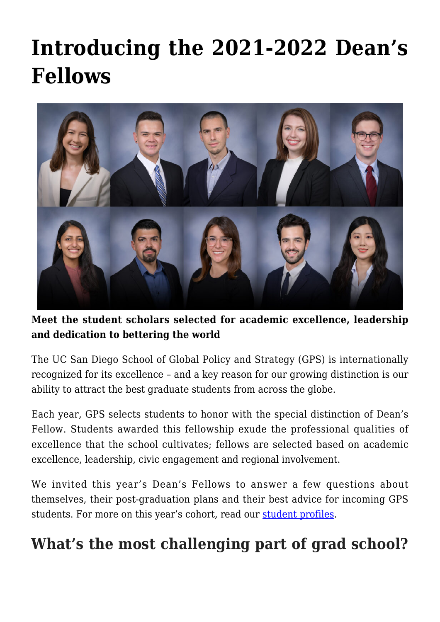# **[Introducing the 2021-2022 Dean's](https://gpsnews.ucsd.edu/introducing-the-2021-2022-deans-fellows/) [Fellows](https://gpsnews.ucsd.edu/introducing-the-2021-2022-deans-fellows/)**



**Meet the student scholars selected for academic excellence, leadership and dedication to bettering the world**

The UC San Diego School of Global Policy and Strategy (GPS) is internationally recognized for its excellence – and a key reason for our growing distinction is our ability to attract the best graduate students from across the globe.

Each year, GPS selects students to honor with the special distinction of Dean's Fellow. Students awarded this fellowship exude the professional qualities of excellence that the school cultivates; fellows are selected based on academic excellence, leadership, civic engagement and regional involvement.

We invited this year's Dean's Fellows to answer a few questions about themselves, their post-graduation plans and their best advice for incoming GPS students. For more on this year's cohort, read our [student profiles](https://gps.ucsd.edu/students/student-profiles.html#2021%E2%80%9322-Dean).

### **What's the most challenging part of grad school?**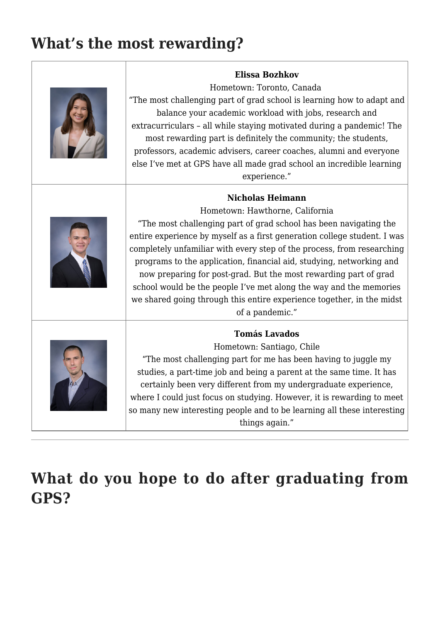## **What's the most rewarding?**

 $\Box$ 

| <b>Elissa Bozhkov</b><br>Hometown: Toronto, Canada<br>"The most challenging part of grad school is learning how to adapt and<br>balance your academic workload with jobs, research and<br>extracurriculars - all while staying motivated during a pandemic! The<br>most rewarding part is definitely the community; the students,<br>professors, academic advisers, career coaches, alumni and everyone<br>else I've met at GPS have all made grad school an incredible learning<br>experience."                                                                                                    |
|-----------------------------------------------------------------------------------------------------------------------------------------------------------------------------------------------------------------------------------------------------------------------------------------------------------------------------------------------------------------------------------------------------------------------------------------------------------------------------------------------------------------------------------------------------------------------------------------------------|
| <b>Nicholas Heimann</b><br>Hometown: Hawthorne, California<br>"The most challenging part of grad school has been navigating the<br>entire experience by myself as a first generation college student. I was<br>completely unfamiliar with every step of the process, from researching<br>programs to the application, financial aid, studying, networking and<br>now preparing for post-grad. But the most rewarding part of grad<br>school would be the people I've met along the way and the memories<br>we shared going through this entire experience together, in the midst<br>of a pandemic." |
| <b>Tomás Lavados</b><br>Hometown: Santiago, Chile<br>"The most challenging part for me has been having to juggle my<br>studies, a part-time job and being a parent at the same time. It has<br>certainly been very different from my undergraduate experience,<br>where I could just focus on studying. However, it is rewarding to meet<br>so many new interesting people and to be learning all these interesting<br>things again."                                                                                                                                                               |

**What do you hope to do after graduating from GPS?**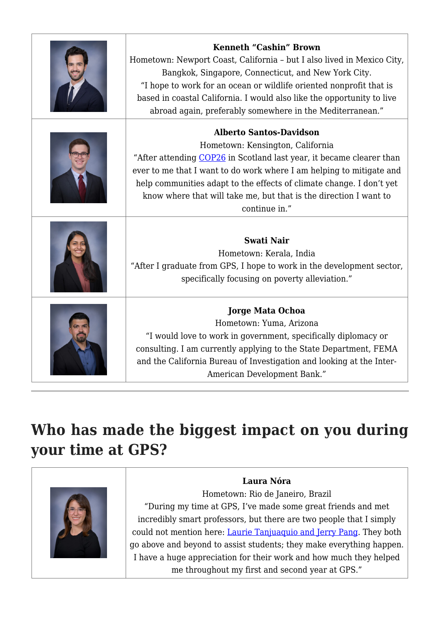| Kenneth "Cashin" Brown<br>Hometown: Newport Coast, California - but I also lived in Mexico City,<br>Bangkok, Singapore, Connecticut, and New York City.<br>"I hope to work for an ocean or wildlife oriented nonprofit that is<br>based in coastal California. I would also like the opportunity to live<br>abroad again, preferably somewhere in the Mediterranean."            |
|----------------------------------------------------------------------------------------------------------------------------------------------------------------------------------------------------------------------------------------------------------------------------------------------------------------------------------------------------------------------------------|
| <b>Alberto Santos-Davidson</b><br>Hometown: Kensington, California<br>"After attending COP26 in Scotland last year, it became clearer than<br>ever to me that I want to do work where I am helping to mitigate and<br>help communities adapt to the effects of climate change. I don't yet<br>know where that will take me, but that is the direction I want to<br>continue in." |
| <b>Swati Nair</b><br>Hometown: Kerala, India<br>"After I graduate from GPS, I hope to work in the development sector,<br>specifically focusing on poverty alleviation."                                                                                                                                                                                                          |
| <b>Jorge Mata Ochoa</b><br>Hometown: Yuma, Arizona<br>"I would love to work in government, specifically diplomacy or<br>consulting. I am currently applying to the State Department, FEMA<br>and the California Bureau of Investigation and looking at the Inter-<br>American Development Bank."                                                                                 |

# **Who has made the biggest impact on you during your time at GPS?**



#### **Laura Nóra**

Hometown: Rio de Janeiro, Brazil "During my time at GPS, I've made some great friends and met incredibly smart professors, but there are two people that I simply could not mention here: [Laurie Tanjuaquio and Jerry Pang](https://gps.ucsd.edu/about/contact.html#Student-Affairs). They both go above and beyond to assist students; they make everything happen. I have a huge appreciation for their work and how much they helped me throughout my first and second year at GPS."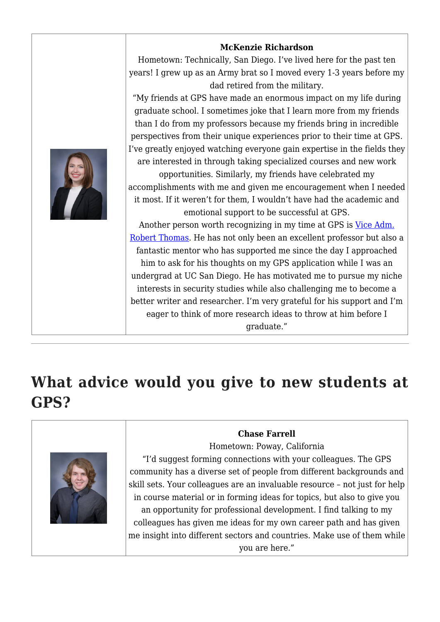

### **What advice would you give to new students at GPS?**



#### **Chase Farrell**

Hometown: Poway, California

"I'd suggest forming connections with your colleagues. The GPS community has a diverse set of people from different backgrounds and skill sets. Your colleagues are an invaluable resource – not just for help in course material or in forming ideas for topics, but also to give you an opportunity for professional development. I find talking to my colleagues has given me ideas for my own career path and has given me insight into different sectors and countries. Make use of them while you are here."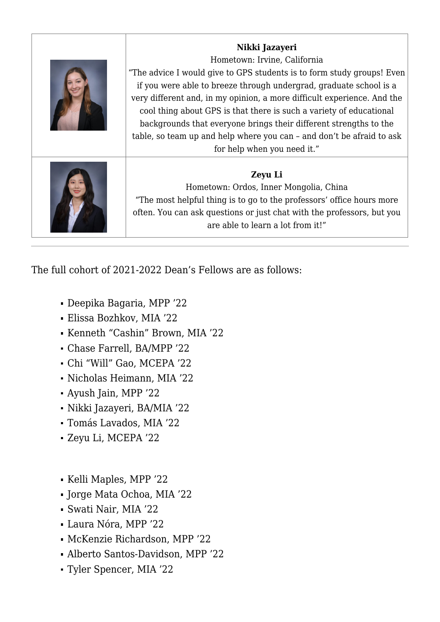| Nikki Jazayeri<br>Hometown: Irvine, California<br>"The advice I would give to GPS students is to form study groups! Even<br>if you were able to breeze through undergrad, graduate school is a<br>very different and, in my opinion, a more difficult experience. And the<br>cool thing about GPS is that there is such a variety of educational<br>backgrounds that everyone brings their different strengths to the<br>table, so team up and help where you can - and don't be afraid to ask<br>for help when you need it." |
|-------------------------------------------------------------------------------------------------------------------------------------------------------------------------------------------------------------------------------------------------------------------------------------------------------------------------------------------------------------------------------------------------------------------------------------------------------------------------------------------------------------------------------|
| Zeyu Li<br>Hometown: Ordos, Inner Mongolia, China<br>"The most helpful thing is to go to the professors' office hours more<br>often. You can ask questions or just chat with the professors, but you<br>are able to learn a lot from it!"                                                                                                                                                                                                                                                                                     |

The full cohort of 2021-2022 Dean's Fellows are as follows:

- Deepika Bagaria, MPP '22
- Elissa Bozhkov, MIA '22
- Kenneth "Cashin" Brown, MIA '22
- Chase Farrell, BA/MPP '22
- Chi "Will" Gao, MCEPA '22
- Nicholas Heimann, MIA '22
- Ayush Jain, MPP '22
- Nikki Jazayeri, BA/MIA '22
- Tomás Lavados, MIA '22
- Zeyu Li, MCEPA '22
- Kelli Maples, MPP '22
- Jorge Mata Ochoa, MIA '22
- Swati Nair, MIA '22
- Laura Nóra, MPP '22
- McKenzie Richardson, MPP '22
- Alberto Santos-Davidson, MPP '22
- Tyler Spencer, MIA '22